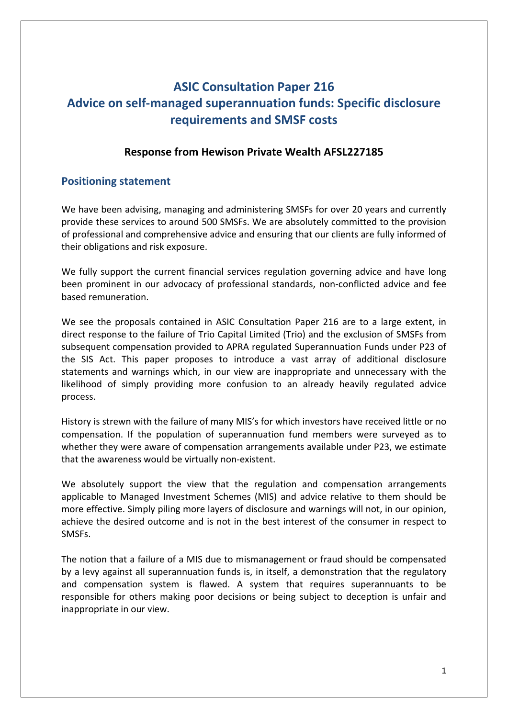# **ASIC Consultation Paper 216 Advice on self‐managed superannuation funds: Specific disclosure requirements and SMSF costs**

## **Response from Hewison Private Wealth AFSL227185**

# **Positioning statement**

We have been advising, managing and administering SMSFs for over 20 years and currently provide these services to around 500 SMSFs. We are absolutely committed to the provision of professional and comprehensive advice and ensuring that our clients are fully informed of their obligations and risk exposure.

We fully support the current financial services regulation governing advice and have long been prominent in our advocacy of professional standards, non-conflicted advice and fee based remuneration.

We see the proposals contained in ASIC Consultation Paper 216 are to a large extent, in direct response to the failure of Trio Capital Limited (Trio) and the exclusion of SMSFs from subsequent compensation provided to APRA regulated Superannuation Funds under P23 of the SIS Act. This paper proposes to introduce a vast array of additional disclosure statements and warnings which, in our view are inappropriate and unnecessary with the likelihood of simply providing more confusion to an already heavily regulated advice process.

History is strewn with the failure of many MIS's for which investors have received little or no compensation. If the population of superannuation fund members were surveyed as to whether they were aware of compensation arrangements available under P23, we estimate that the awareness would be virtually non‐existent.

We absolutely support the view that the regulation and compensation arrangements applicable to Managed Investment Schemes (MIS) and advice relative to them should be more effective. Simply piling more layers of disclosure and warnings will not, in our opinion, achieve the desired outcome and is not in the best interest of the consumer in respect to SMSFs.

The notion that a failure of a MIS due to mismanagement or fraud should be compensated by a levy against all superannuation funds is, in itself, a demonstration that the regulatory and compensation system is flawed. A system that requires superannuants to be responsible for others making poor decisions or being subject to deception is unfair and inappropriate in our view.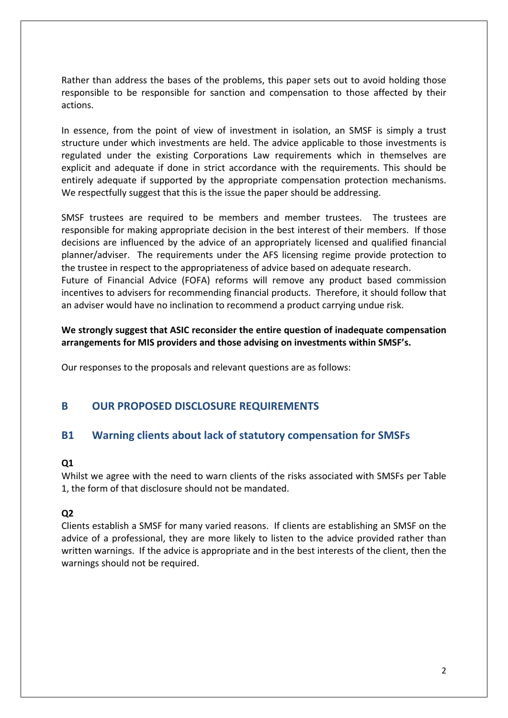Rather than address the bases of the problems, this paper sets out to avoid holding those responsible to be responsible for sanction and compensation to those affected by their actions.

In essence, from the point of view of investment in isolation, an SMSF is simply a trust structure under which investments are held. The advice applicable to those investments is regulated under the existing Corporations Law requirements which in themselves are explicit and adequate if done in strict accordance with the requirements. This should be entirely adequate if supported by the appropriate compensation protection mechanisms. We respectfully suggest that this is the issue the paper should be addressing.

SMSF trustees are required to be members and member trustees. The trustees are responsible for making appropriate decision in the best interest of their members. If those decisions are influenced by the advice of an appropriately licensed and qualified financial planner/adviser. The requirements under the AFS licensing regime provide protection to the trustee in respect to the appropriateness of advice based on adequate research. Future of Financial Advice (FOFA) reforms will remove any product based commission incentives to advisers for recommending financial products. Therefore, it should follow that

**We strongly suggest that ASIC reconsider the entire question of inadequate compensation arrangements for MIS providers and those advising on investments within SMSF's.** 

an adviser would have no inclination to recommend a product carrying undue risk.

Our responses to the proposals and relevant questions are as follows:

# **B OUR PROPOSED DISCLOSURE REQUIREMENTS**

# **B1 Warning clients about lack of statutory compensation for SMSFs**

### **Q1**

Whilst we agree with the need to warn clients of the risks associated with SMSFs per Table 1, the form of that disclosure should not be mandated.

### **Q2**

Clients establish a SMSF for many varied reasons. If clients are establishing an SMSF on the advice of a professional, they are more likely to listen to the advice provided rather than written warnings. If the advice is appropriate and in the best interests of the client, then the warnings should not be required.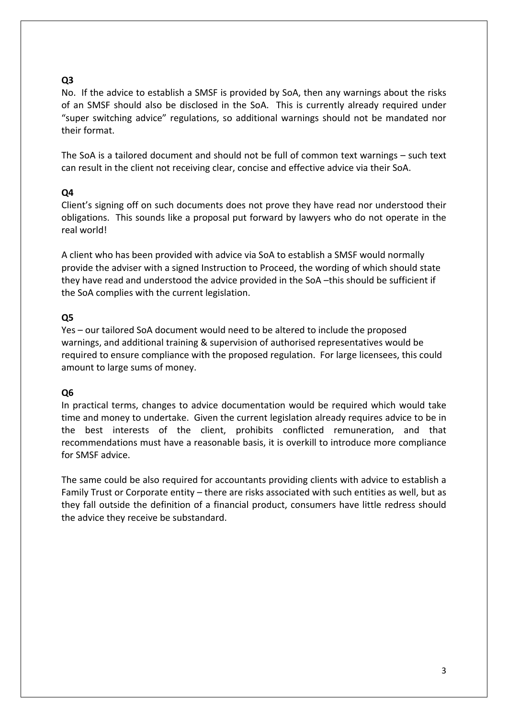# **Q3**

No. If the advice to establish a SMSF is provided by SoA, then any warnings about the risks of an SMSF should also be disclosed in the SoA. This is currently already required under "super switching advice" regulations, so additional warnings should not be mandated nor their format.

The SoA is a tailored document and should not be full of common text warnings – such text can result in the client not receiving clear, concise and effective advice via their SoA.

### **Q4**

Client's signing off on such documents does not prove they have read nor understood their obligations. This sounds like a proposal put forward by lawyers who do not operate in the real world!

A client who has been provided with advice via SoA to establish a SMSF would normally provide the adviser with a signed Instruction to Proceed, the wording of which should state they have read and understood the advice provided in the SoA –this should be sufficient if the SoA complies with the current legislation.

# **Q5**

Yes – our tailored SoA document would need to be altered to include the proposed warnings, and additional training & supervision of authorised representatives would be required to ensure compliance with the proposed regulation. For large licensees, this could amount to large sums of money.

### **Q6**

In practical terms, changes to advice documentation would be required which would take time and money to undertake. Given the current legislation already requires advice to be in the best interests of the client, prohibits conflicted remuneration, and that recommendations must have a reasonable basis, it is overkill to introduce more compliance for SMSF advice.

The same could be also required for accountants providing clients with advice to establish a Family Trust or Corporate entity – there are risks associated with such entities as well, but as they fall outside the definition of a financial product, consumers have little redress should the advice they receive be substandard.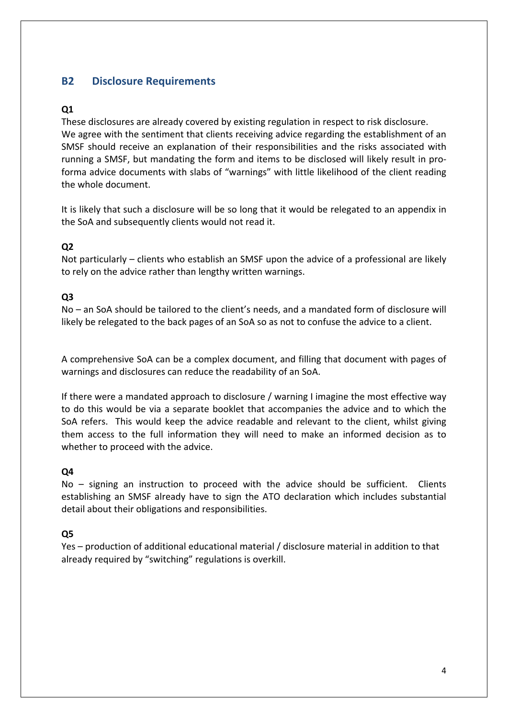# **B2 Disclosure Requirements**

# **Q1**

These disclosures are already covered by existing regulation in respect to risk disclosure. We agree with the sentiment that clients receiving advice regarding the establishment of an SMSF should receive an explanation of their responsibilities and the risks associated with running a SMSF, but mandating the form and items to be disclosed will likely result in pro‐ forma advice documents with slabs of "warnings" with little likelihood of the client reading the whole document.

It is likely that such a disclosure will be so long that it would be relegated to an appendix in the SoA and subsequently clients would not read it.

### **Q2**

Not particularly – clients who establish an SMSF upon the advice of a professional are likely to rely on the advice rather than lengthy written warnings.

### **Q3**

No – an SoA should be tailored to the client's needs, and a mandated form of disclosure will likely be relegated to the back pages of an SoA so as not to confuse the advice to a client.

A comprehensive SoA can be a complex document, and filling that document with pages of warnings and disclosures can reduce the readability of an SoA.

If there were a mandated approach to disclosure / warning I imagine the most effective way to do this would be via a separate booklet that accompanies the advice and to which the SoA refers. This would keep the advice readable and relevant to the client, whilst giving them access to the full information they will need to make an informed decision as to whether to proceed with the advice.

#### **Q4**

No – signing an instruction to proceed with the advice should be sufficient. Clients establishing an SMSF already have to sign the ATO declaration which includes substantial detail about their obligations and responsibilities.

#### **Q5**

Yes – production of additional educational material / disclosure material in addition to that already required by "switching" regulations is overkill.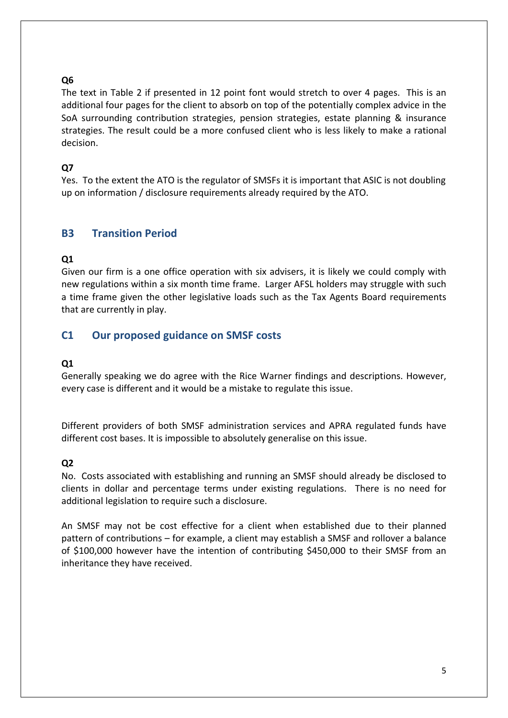# **Q6**

The text in Table 2 if presented in 12 point font would stretch to over 4 pages. This is an additional four pages for the client to absorb on top of the potentially complex advice in the SoA surrounding contribution strategies, pension strategies, estate planning & insurance strategies. The result could be a more confused client who is less likely to make a rational decision.

# **Q7**

Yes. To the extent the ATO is the regulator of SMSFs it is important that ASIC is not doubling up on information / disclosure requirements already required by the ATO.

# **B3 Transition Period**

# **Q1**

Given our firm is a one office operation with six advisers, it is likely we could comply with new regulations within a six month time frame. Larger AFSL holders may struggle with such a time frame given the other legislative loads such as the Tax Agents Board requirements that are currently in play.

# **C1 Our proposed guidance on SMSF costs**

### **Q1**

Generally speaking we do agree with the Rice Warner findings and descriptions. However, every case is different and it would be a mistake to regulate this issue.

Different providers of both SMSF administration services and APRA regulated funds have different cost bases. It is impossible to absolutely generalise on this issue.

### **Q2**

No. Costs associated with establishing and running an SMSF should already be disclosed to clients in dollar and percentage terms under existing regulations. There is no need for additional legislation to require such a disclosure.

An SMSF may not be cost effective for a client when established due to their planned pattern of contributions – for example, a client may establish a SMSF and rollover a balance of \$100,000 however have the intention of contributing \$450,000 to their SMSF from an inheritance they have received.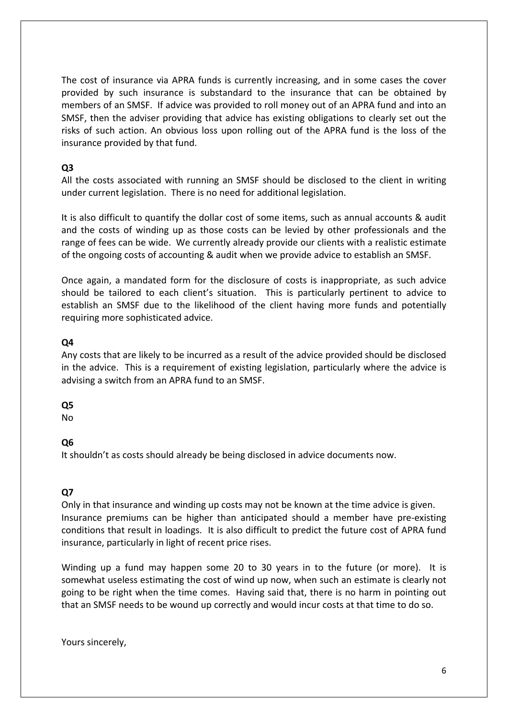The cost of insurance via APRA funds is currently increasing, and in some cases the cover provided by such insurance is substandard to the insurance that can be obtained by members of an SMSF. If advice was provided to roll money out of an APRA fund and into an SMSF, then the adviser providing that advice has existing obligations to clearly set out the risks of such action. An obvious loss upon rolling out of the APRA fund is the loss of the insurance provided by that fund.

## **Q3**

All the costs associated with running an SMSF should be disclosed to the client in writing under current legislation. There is no need for additional legislation.

It is also difficult to quantify the dollar cost of some items, such as annual accounts & audit and the costs of winding up as those costs can be levied by other professionals and the range of fees can be wide. We currently already provide our clients with a realistic estimate of the ongoing costs of accounting & audit when we provide advice to establish an SMSF.

Once again, a mandated form for the disclosure of costs is inappropriate, as such advice should be tailored to each client's situation. This is particularly pertinent to advice to establish an SMSF due to the likelihood of the client having more funds and potentially requiring more sophisticated advice.

# **Q4**

Any costs that are likely to be incurred as a result of the advice provided should be disclosed in the advice. This is a requirement of existing legislation, particularly where the advice is advising a switch from an APRA fund to an SMSF.

# **Q5**

No

# **Q6**

It shouldn't as costs should already be being disclosed in advice documents now.

### **Q7**

Only in that insurance and winding up costs may not be known at the time advice is given. Insurance premiums can be higher than anticipated should a member have pre‐existing conditions that result in loadings. It is also difficult to predict the future cost of APRA fund insurance, particularly in light of recent price rises.

Winding up a fund may happen some 20 to 30 years in to the future (or more). It is somewhat useless estimating the cost of wind up now, when such an estimate is clearly not going to be right when the time comes. Having said that, there is no harm in pointing out that an SMSF needs to be wound up correctly and would incur costs at that time to do so.

Yours sincerely,